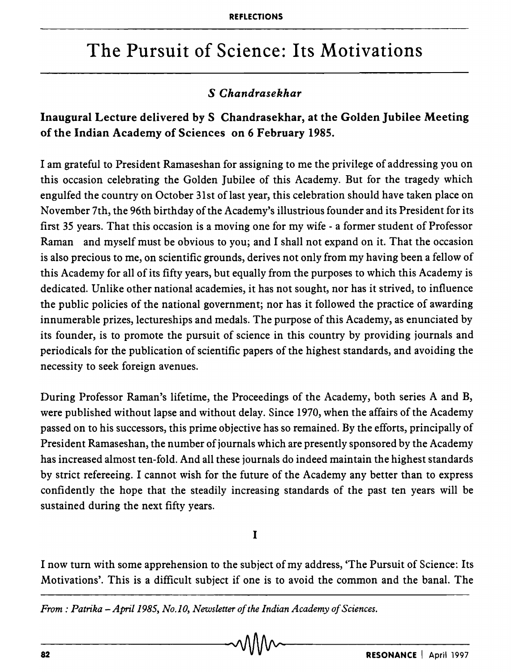# The Pursuit of Science: Its Motivations

## *S Chandrasekhar*

## Inaugural Lecture delivered by S Chandrasekhar, at the Golden Jubilee Meeting of the Indian Academy of Sciences on 6 February 1985.

I am grateful to President Ramaseshan for assigning to me the privilege of addressing you on this occasion celebrating the Golden Jubilee of this Academy. But for the tragedy which engulfed the country on October 31st of last year, this celebration should have taken place on November 7th, the 96th birthday of the Academy's illustrious founder and its President for its first 35 years. That this occasion is a moving one for my wife - a former student of Professor Raman and myself must be obvious to you; and I shall not expand on it. That the occasion is also precious to me, on scientific grounds, derives not only from my having been a fellow of this Academy for all of its fifty years, but equally from the purposes to which this Academy is dedicated. Unlike other national academies, it has not sought, nor has it strived, to influence the public policies of the national government; nor has it followed the practice of awarding innumerable prizes, lectureships and medals. The purpose of this Academy, as enunciated by its founder, is to promote the pursuit of science in this country by providing journals and periodicals for the publication of scientific papers of the highest standards, and avoiding the necessity to seek foreign avenues.

During Professor Raman's lifetime, the Proceedings of the Academy, both series A and B, were published without lapse and without delay. Since 1970, when the affairs of the Academy passed on to his successors, this prime objective has so remained. By the efforts, principally of President Ramaseshan, the number of journals which are presently sponsored by the Academy has increased almost ten-fold. And all these journals do indeed maintain the highest standards by strict refereeing. I cannot wish for the future of the Academy any better than to express confidently the hope that the steadily increasing standards of the past ten years will be sustained during the next fifty years.

I

I now turn with some apprehension to the subject of my address, 'The Pursuit of Science: Its Motivations'. This is a difficult subject if one is to avoid the common and the banal. The

*From: Patrika -April* 1985, *No.10, Newsletter of the Indian Academy of Sciences.*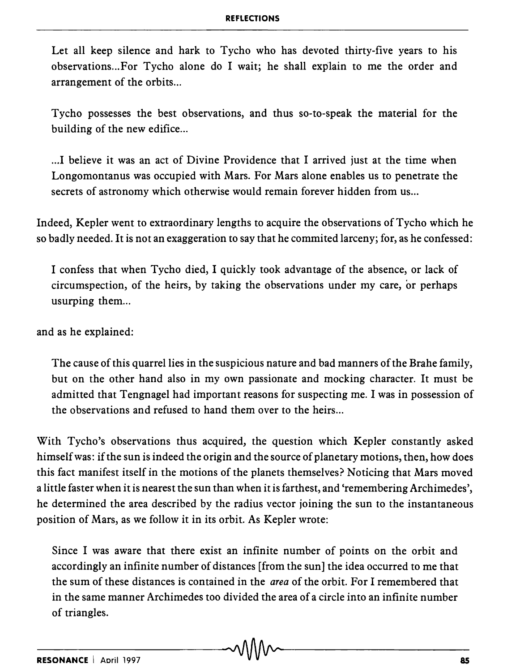Let all keep silence and hark to Tycho who has devoted thirty-five years to his observations ... For Tycho alone do I wait; he shall explain to me the order and arrangement of the orbits...

Tycho possesses the best observations, and thus so-to-speak the material for the building of the new edifice...

.. .1 believe it was an act of Divine Providence that I arrived just at the time when Longomontanus was occupied with Mars. For Mars alone enables us to penetrate the secrets of astronomy which otherwise would remain forever hidden from us...

Indeed, Kepler went to extraordinary lengths to acquire the observations of Tycho which he so badly needed. It is not an exaggeration to say that he commited larceny; for, as he confessed:

I confess that when Tycho died, I quickly took advantage of the absence, or lack of circumspection, of the heirs, by taking the observations under my care, or perhaps usurping them...

and as he explained:

The cause of this quarrel lies in the suspicious nature and bad manners of the Brahe family, but on the other hand also in my own passionate and mocking character. It must be admitted that Tengnagel had important reasons for suspecting me. I was in possession of the observations and refused to hand them over to the heirs...

With Tycho's observations thus acquired, the question which Kepler constantly asked himself was: if the sun is indeed the origin and the source of planetary motions, then, how does this fact manifest itself in the motions of the planets themselves? Noticing that Mars moved a little faster when it is nearest the sun than when it is farthest, and 'remembering Archimedes', he determined the area described by the radius vector joining the sun to the instantaneous position of Mars, as we follow it in its orbit. As Kepler wrote:

Since I was aware that there exist an infinite number of points on the orbit and accordingly an infinite number of distances [from the sun] the idea occurred to me that the sum of these distances is contained in the *area* of the orbit. For I remembered that in the same manner Archimedes too divided the area of a circle into an infinite number of triangles.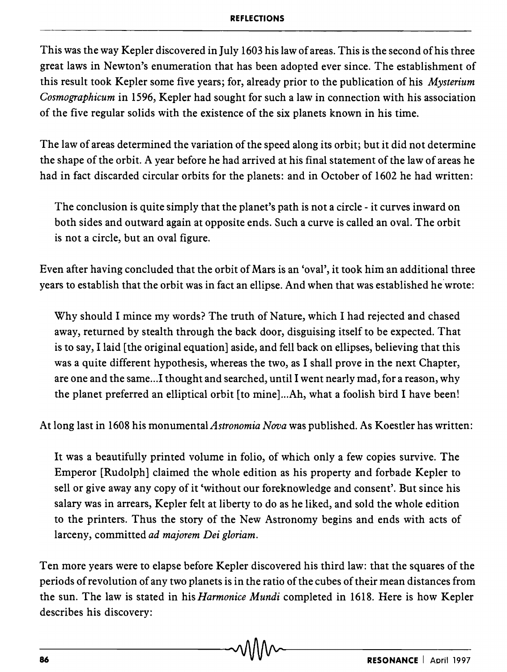#### **REFLECTIONS**

This was the way Kepler discovered in July 1603 his law of areas. This is the second of his three great laws in Newton's enumeration that has been adopted ever since. The establishment of this result took Kepler some five years; for, already prior to the publication of his *Mysterium Cosmographicum* in 1596, Kepler had sought for such a law in connection with his association of the five regular solids with the existence of the six planets known in his time.

The law of areas determined the variation of the speed along its orbit; but it did not determine the shape of the orbit. A year before he had arrived at his final statement of the law of areas he had in fact discarded circular orbits for the planets: and in October of 1602 he had written:

The conclusion is quite simply that the planet's path is not a circle - it curves inward on both sides and outward again at opposite ends. Such a curve is called an oval. The orbit is not a circle, but an oval figure.

Even after having concluded that the orbit of Mars is an 'oval', it took him an additional three years to establish that the orbit was in fact an ellipse. And when that was established he wrote:

Why should I mince my words? The truth of Nature, which I had rejected and chased away, returned by stealth through the back door, disguising itself to be expected. That is to say, I laid [the original equation] aside, and fell back on ellipses, believing that this was a quite different hypothesis, whereas the two, as I shall prove in the next Chapter, are one and the same...I thought and searched, until I went nearly mad, for a reason, why the planet preferred an elliptical orbit [to mine] ... Ah, what a foolish bird I have been!

At long last in 1608 his monumental *Astronomia Nova* was published. As Koestler has written:

It was a beautifully printed volume in folio, of which only a few copies survive. The Emperor [Rudolph] claimed the whole edition as his property and forbade Kepler to sell or give away any copy of it 'without our foreknowledge and consent'. But since his salary was in arrears, Kepler felt at liberty to do as he liked, and sold the whole edition to the printers. Thus the story of the New Astronomy begins and ends with acts of larceny, committed *ad majorem Dei gloriam.* 

Ten more years were to elapse before Kepler discovered his third law: that the squares of the periods of revolution of any two planets is in the ratio of the cubes of their mean distances from the sun. The law is stated in his *Harmonice Mundi* completed in 1618. Here is how Kepler describes his discovery: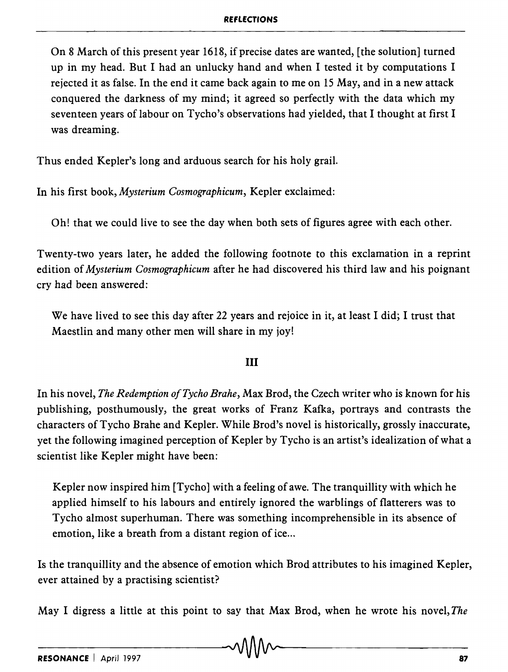On 8 March of this present year 1618, if precise dates are wanted, [the solution] turned up in my head. But I had an unlucky hand and when I tested it by computations I rejected it as false. In the end it came back again to me on 15 May, and in a new attack conquered the darkness of my mind; it agreed so perfectly with the data which my seventeen years of labour on Tycho's observations had yielded, that I thought at first I was dreaming.

Thus ended Kepler's long and arduous search for his holy grail.

In his first book, *Mysterium Cosmographicum,* Kepler exclaimed:

Oh! that we could live to see the day when both sets of figures agree with each other.

Twenty-two years later, he added the following footnote to this exclamation in a reprint edition of *Mysterium Cosmographicum* after he had discovered his third law and his poignant cry had been answered:

We have lived to see this day after 22 years and rejoice in it, at least I did; I trust that Maestlin and many other men will share in my joy!

#### **III**

In his novel, *The Redemption of Tycho Brahe,* Max Brod, the Czech writer who is known for his publishing, posthumously, the great works of Franz Kafka, portrays and contrasts the characters of Tycho Brahe and Kepler. While Brod's novel is historically, grossly inaccurate, yet the following imagined perception of Kepler by Tycho is an artist's idealization of what a scientist like Kepler might have been:

Kepler now inspired him  $[Tycho]$  with a feeling of awe. The tranquillity with which he applied himself to his labours and entirely ignored the warblings of flatterers was to Tycho almost superhuman. There was something incomprehensible in its absence of emotion, like a breath from a distant region of ice...

Is the tranquillity and the absence of emotion which Brod attributes to his imagined Kepler, ever attained by a practising scientist?

May I digress a little at this point to say that Max Brod, when he wrote his novel, *The*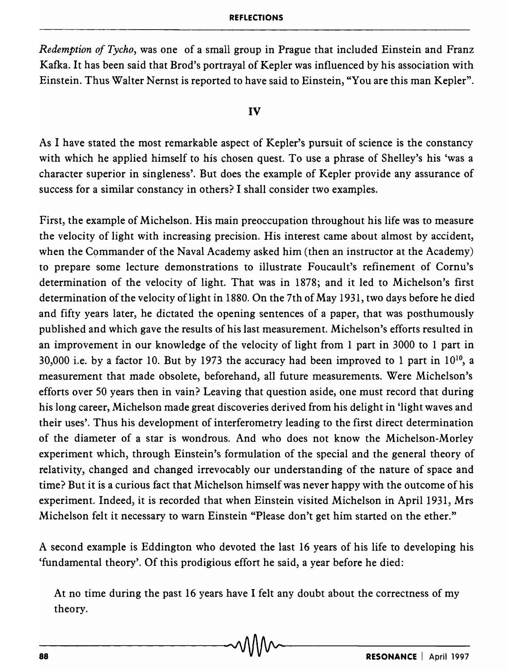*Redemption of Tycho,* was one of a small group in Prague that included Einstein and Franz Kafka. It has been said that Brod's portrayal of Kepler was influenced by his association with Einstein. Thus Walter Nernst is reported to have said to Einstein, "You are this man Kepler".

#### **IV**

As I have stated the most remarkable aspect of Kepler's pursuit of science is the constancy with which he applied himself to his chosen quest. To use a phrase of Shelley's his 'was a character superior in singleness'. But does the example of Kepler provide any assurance of success for a similar constancy in others? I shall consider two examples.

First, the example of Michelson. His main preoccupation throughout his life was to measure the velocity of light with increasing precision. His interest came about almost by accident, when the Commander of the Naval Academy asked him (then an instructor at the Academy) to prepare some lecture demonstrations to illustrate Foucault's refinement of Cornu's determination of the velocity of light. That was in 1878; and it led to Michelson's first determination of the velocity oflight in 1880. On the 7th of May 1931, two days before he died and fifty years later, he dictated the opening sentences of a paper, that was posthumously published and which gave the results of his last measurement. Michelson's efforts resulted in an improvement in our knowledge of the velocity of light from 1 part in 3000 to 1 part in 30,000 i.e. by a factor 10. But by 1973 the accuracy had been improved to 1 part in  $10^{10}$ , a measurement that made obsolete, beforehand, all future measurements. Were Michelson's efforts over 50 years then in vain? Leaving that question aside, one must record that during his long career, Michelson made great discoveries derived from his delight in 'light waves and their uses'. Thus his development of interferometry leading to the first direct determination of the diameter of a star is wondrous. And who does not know the Michelson-Morley experiment which, through Einstein's formulation of the special and the general theory of relativity, changed and changed irrevocably our understanding of the nature of space and time? But it is a curious fact that Michelson himself was never happy with the outcome of his experiment. Indeed, it is recorded that when Einstein visited Michelson in April 1931, Mrs Michelson felt it necessary to warn Einstein "Please don't get him started on the ether."

A second example is Eddington who devoted the last 16 years of his life to developing his 'fundamental theory'. Of this prodigious effort he said, a year before he died:

At no time during the past 16 years have I felt any doubt about the correctness of my theory.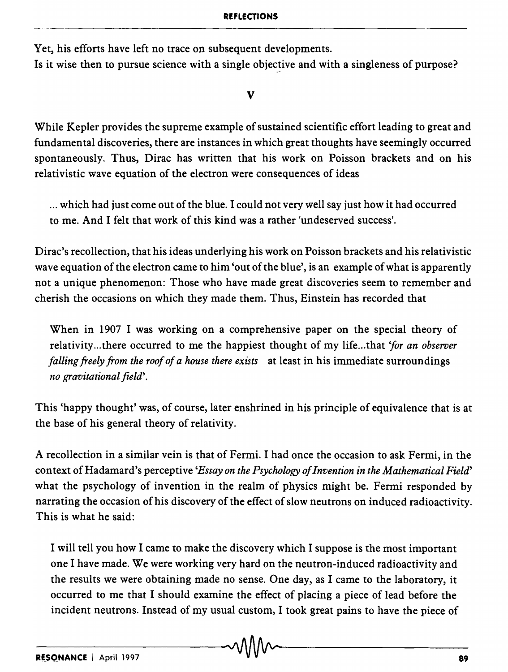Yet, his efforts have left no trace on subsequent developments. Is it wise then to pursue science with a single objective and with a singleness of purpose?

#### v

While Kepler provides the supreme example of sustained scientific effort leading to great and fundamental discoveries, there are instances in which great thoughts have seemingly occurred spontaneously. Thus, Dirac has written that his work on Poisson brackets and on his relativistic wave equation of the electron were consequences of ideas

... which had just come out of the blue. I could not very well say just how it had occurred to me. And I felt that work of this kind was a rather 'undeserved success'.

Dirac's recollection, that his ideas underlying his work on Poisson brackets and his relativistic wave equation of the electron came to him 'out of the blue', is an example of what is apparently not a unique phenomenon: Those who have made great discoveries seem to remember and cherish the occasions on which they made them. Thus, Einstein has recorded that

When in 1907 I was working on a comprehensive paper on the special theory of relativity...there occurred to me the happiest thought of my life...that *'for an observer falling freely from the roof of a house there exists* at least in his immediate surroundings *no gravitational field'.* 

This 'happy thought' was, of course, later enshrined in his principle of equivalence that is at the base of his general theory of relativity.

A recollection in a similar vein is that of Fermi. I had once the occasion to ask Fermi, in the con text of Hadamard's perceptive *'Essay on the Psychology of Invention in the Mathematical Field'*  what the psychology of invention in the realm of physics might be. Fermi responded by narrating the occasion of his discovery of the effect of slow neutrons on induced radioactivity. This is what he said:

I will tell you how I came to make the discovery which I suppose is the most important one I have made. We were working very hard on the neutron-induced radioactivity and the results we were obtaining made no sense. One day, as I came to the laboratory, it occurred to me that I should examine the effect of placing a piece of lead before the incident neutrons. Instead of my usual custom, I took great pains to have the piece of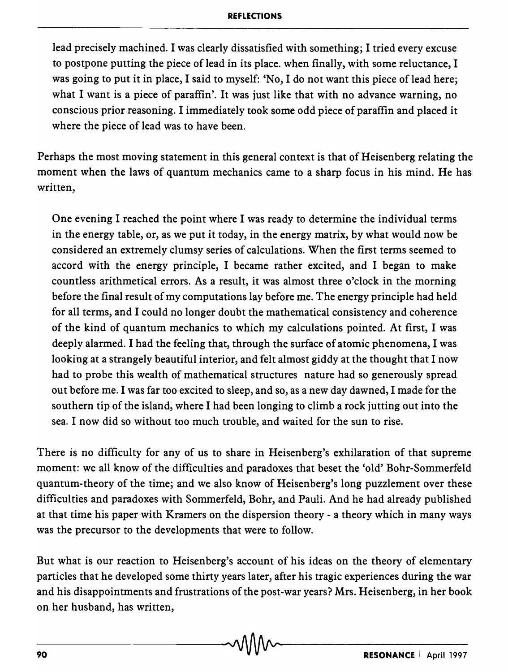lead precisely machined. I was clearly dissatisfied with something; I tried every excuse to postpone putting the piece of lead in its place. when finally, with some reluctance, I was going to put it in place, I said to myself: 'No, I do not want this piece of lead here; what I want is a piece of paraffin'. It was just like that with no advance warning, no conscious prior reasoning. I immediately took some odd piece of paraffin and placed it where the piece of lead was to have been.

Perhaps the most moving statement in this general context is that of Heisenberg relating the moment when the laws of quantum mechanics came to a sharp focus in his mind. He has written,

One evening I reached the point where I was ready to determine the individual terms in the energy table, or, as we put it today, in the energy matrix, by what would now be considered an extremely clumsy series of calculations. When the first terms seemed to accord with the energy principle, I became rather excited, and I began to make countless arithmetical errors. As a result, it was almost three o'clock in the morning before the final result of my computations lay before me. The energy principle had held for all terms, and I could no longer doubt the mathematical consistency and coherence of the kind of quantum mechanics to which my calculations pointed. At first, I was deeply alarmed. I had the feeling that, through the surface of atomic phenomena, I was looking at a strangely beautiful interior, and felt almost giddy at the thought that I now had to probe this wealth of mathematical structures nature had so generously spread out before me. I was far too excited to sleep, and so, as a new day dawned, I made for the southern tip of the island, where I had been longing to climb a rock jutting out into the sea. I now did so without too much trouble, and waited for the sun to rise.

There is no difficulty for any of us to share in Heisenberg's exhilaration of that supreme moment: we all know of the difficulties and paradoxes that beset the 'old' Bohr-Sommerfeld quantum-theory of the time; and we also know of Heisenberg's long puzzlement over these difficulties and paradoxes with Sommerfeld, Bohr, and Pauli. And he had already published at that time his paper with Kramers on the dispersion theory - a theory which in many ways was the precursor to the developments that were to follow.

But what is our reaction to Heisenberg's account of his ideas on the theory of elementary particles that he developed some thirty years later, after his tragic experiences during the war and his disappointments and frustrations of the post-war years? Mrs. Heisenberg, in her book on her husband, has written,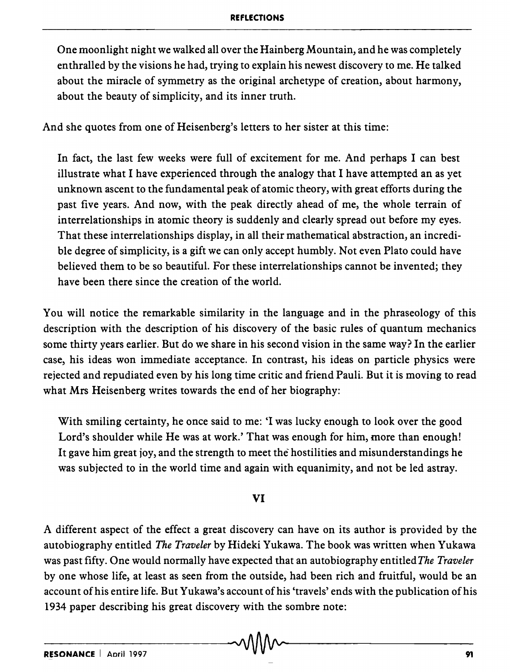One moonlight night we walked all over the Hainberg Mountain, and he was completely enthralled by the visions he had, trying to explain his newest discovery to me. He talked about the miracle of symmetry as the original archetype of creation, about harmony, about the beauty of simplicity, and its inner truth.

And she quotes from one of Heisenberg's letters to her sister at this time:

In fact, the last few weeks were full of excitement for me. And perhaps I can best illustrate what I have experienced through the analogy that I have attempted an as yet unknown ascent to the fundamental peak of atomic theory, with great efforts during the past five years. And now, with the peak directly ahead of me, the whole terrain of interrelationships in atomic theory is suddenly and clearly spread out before my eyes. That these interrelationships display, in all their mathematical abstraction, an incredible degree of simplicity, is a gift we can only accept humbly. Not even Plato could have believed them to be so beautiful. For these interrelationships cannot be invented; they have been there since the creation of the world.

You will notice the remarkable similarity in the language and in the phraseology of this description with the description of his discovery of the basic rules of quantum mechanics some thirty years earlier. But do we share in his second vision in the same way? In the earlier case, his ideas won immediate acceptance. In contrast, his ideas on particle physics were rejected and repudiated even by his long time critic and friend Pauli. But it is moving to read what Mrs Heisenberg writes towards the end of her biography:

With smiling certainty, he once said to me: 'I was lucky enough to look over the good Lord's shoulder while He was at work.' That was enough for him, more than enough! It gave him great joy, and the strength to meet the hostilities and misunderstandings he was subjected to in the world time and again with equanimity, and not be led astray.

#### **VI**

A different aspect of the effect a great discovery can have on its author is provided by the autobiography entitled *The Traveler* by Hideki Yukawa. The book was written when Yukawa was past fifty. One would normally have expected that an autobiography entitled *The Traveler*  by one whose life, at least as seen from the outside, had been rich and fruitful, would be an account of his entire life. But Yukawa's account of his 'travels' ends with the publication of his 1934 paper describing his great discovery with the sombre note: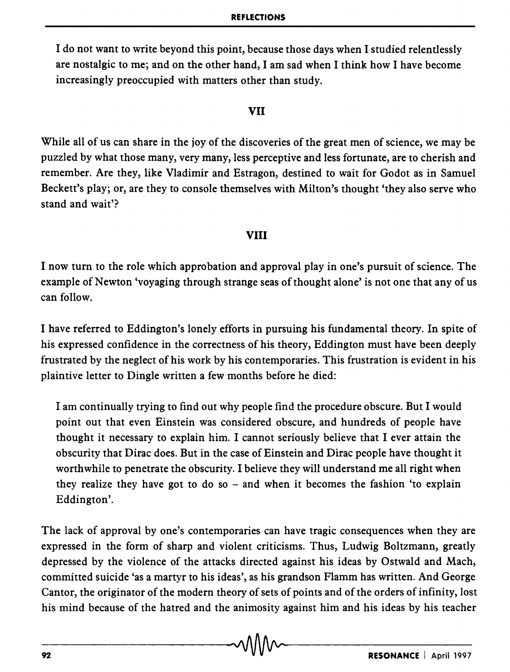I do not want to write beyond this point, because those days when I studied relentlessly are nostalgic to me; and on the other hand, I am sad when I think how I have become increasingly preoccupied with matters other than study.

#### **VII**

While all of us can share in the joy of the discoveries of the great men of science, we may be puzzled by what those many, very many, less perceptive and less fortunate, are to cherish and remember. Are they, like Vladimir and Estragon, destined to wait for Godot as in Samuel Beckett's play; or, are they to console themselves with Milton's thought 'they also serve who stand and wait'?

#### **VIII**

I now turn to the role which approbation and approval play in one's pursuit of science. The example of Newton 'voyaging through strange seas of thought alone' is not one that any of us can follow.

I have referred to Eddington's lonely efforts in pursuing his fundamental theory. In spite of his expressed confidence in the correctness of his theory, Eddington must have been deeply frustrated by the neglect of his work by his contemporaries. This frustration is evident in his plaintive letter to Dingle written a few months before he died:

I am continually trying to find out why people find the procedure obscure. But I would point out that even Einstein was considered obscure, and hundreds of people have thought it necessary to explain him. I cannot seriously believe that I ever attain the obscurity that Dirac does. But in the case of Einstein and Dirac people have thought it worthwhile to penetrate the obscurity. I believe they will understand me all right when they realize they have got to do so  $-$  and when it becomes the fashion 'to explain Eddington'.

The lack of approval by one's contemporaries can have tragic consequences when they are expressed in the form of sharp and violent criticisms. Thus, Ludwig Boltzmann, greatly depressed by the violence of the attacks directed against his ideas by Ostwald and Mach, committed suicide 'as a martyr to his ideas', as his grandson Flamm has written. And George Cantor, the originator of the modern theory of sets of points and of the orders of infinity, lost his mind because of the hatred and the animosity against him and his ideas by his teacher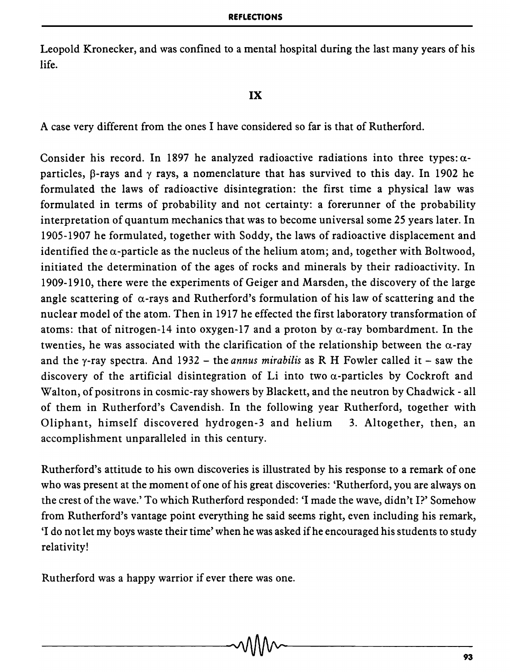Leopold Kronecker, and was confined to a mental hospital during the last many years of his life.

#### **IX**

A case very different from the ones I have considered so far is that of Rutherford.

Consider his record. In 1897 he analyzed radioactive radiations into three types:  $\alpha$ particles,  $\beta$ -rays and  $\gamma$  rays, a nomenclature that has survived to this day. In 1902 he formulated the laws of radioactive disintegration: the first time a physical law was formulated in terms of probability and not certainty: a forerunner of the probability interpretation of quantum mechanics that was to become universal some 25 years later. In 1905-1907 he formulated, together with Soddy, the laws of radioactive displacement and identified the  $\alpha$ -particle as the nucleus of the helium atom; and, together with Boltwood, initiated the determination of the ages of rocks and minerals by their radioactivity. In 1909-1910, there were the experiments of Geiger and Marsden, the discovery of the large angle scattering of  $\alpha$ -rays and Rutherford's formulation of his law of scattering and the nuclear model of the atom. Then in 1917 he effected the first laboratory transformation of atoms: that of nitrogen-14 into oxygen-17 and a proton by  $\alpha$ -ray bombardment. In the twenties, he was associated with the clarification of the relationship between the  $\alpha$ -ray and the  $\gamma$ -ray spectra. And 1932 – the *annus mirabilis* as R H Fowler called it – saw the discovery of the artificial disintegration of Li into two  $\alpha$ -particles by Cockroft and Walton, of positrons in cosmic-ray showers by Blackett, and the neutron by Chadwick - all of them in Rutherford's Cavendish. In the following year Rutherford, together with Oliphant, himself discovered hydrogen-3 and helium 3. Altogether, then, an accomplishment unparalleled in this century.

Rutherford's attitude to his own discoveries is illustrated by his response to a remark of one who was present at the moment of one of his great discoveries: 'Rutherford, you are always on the crest of the wave.' To which Rutherford responded: 'I made the wave, didn't I?' Somehow from Rutherford's vantage point everything he said seems right, even including his remark, '1 do not let my boys waste their time' when he was asked ifhe encouraged his students to study relativity!

Rutherford was a happy warrior if ever there was one.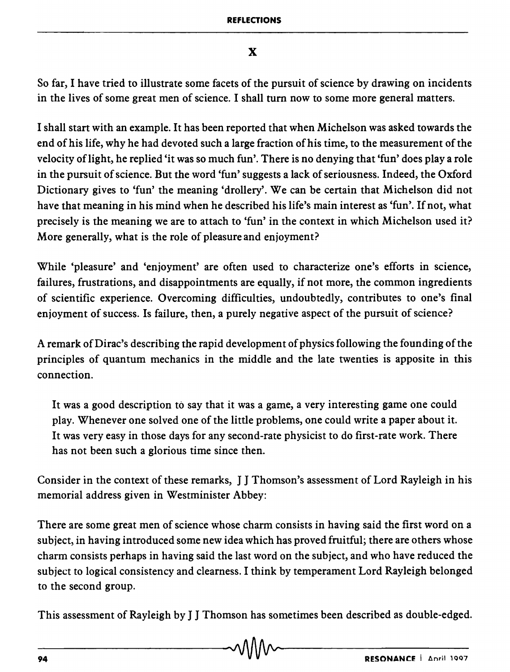#### x

So far, I have tried to illustrate some facets of the pursuit of science by drawing on incidents in the lives of some great men of science. I shall tum now to some more general matters.

I shall start with an example. It has been reported that when Michelson was asked towards the end of his life, why he had devoted such a large fraction of his time, to the measurement of the velocity of light, he replied 'it was so much fun'. There is no denying that 'fun' does playa role in the pursuit of science. But the word 'fun' suggests a lack of seriousness. Indeed, the Oxford Dictionary gives to 'fun' the meaning 'drollery'. We can be certain that Michelson did not have that meaning in his mind when he described his life's main interest as 'fun'. If not, what precisely is the meaning we are to attach to 'fun' in the context in which Michelson used it? More generally, what is the role of pleasure and enjoyment?

While 'pleasure' and 'enjoyment' are often used to characterize one's efforts in science, failures, frustrations, and disappointments are equally, if not more, the common ingredients of scientific experience. Overcoming difficulties, undoubtedly, contributes to one's final enjoyment of success. Is failure, then, a purely negative aspect of the pursuit of science?

A remark of Dirac's describing the rapid development of physics following the founding of the principles of quantum mechanics in the middle and the late twenties is apposite in this connection.

It was a good description to say that it was a game, a very interesting game one could play. Whenever one solved one of the little problems, one could write a paper about it. It was very easy in those days for any second-rate physicist to do first-rate work. There has not been such a glorious time since then.

Consider in the context of these remarks, J J Thomson's assessment of Lord Rayleigh in his memorial address given in Westminister Abbey:

There are some great men of science whose charm consists in having said the first word on a subject, in having introduced some new idea which has proved fruitful; there are others whose charm consists perhaps in having said the last word on the subject, and who have reduced the subject to logical consistency and clearness. I think by temperament Lord Rayleigh belonged to the second group.

This assessment of Rayleigh by J J Thomson has sometimes been described as double-edged. This assessment of Rayleigh by J J Thomson has sometimes been described as double-edged.<br> **VANA**<br> **PARESONANCE** | Anril 1997